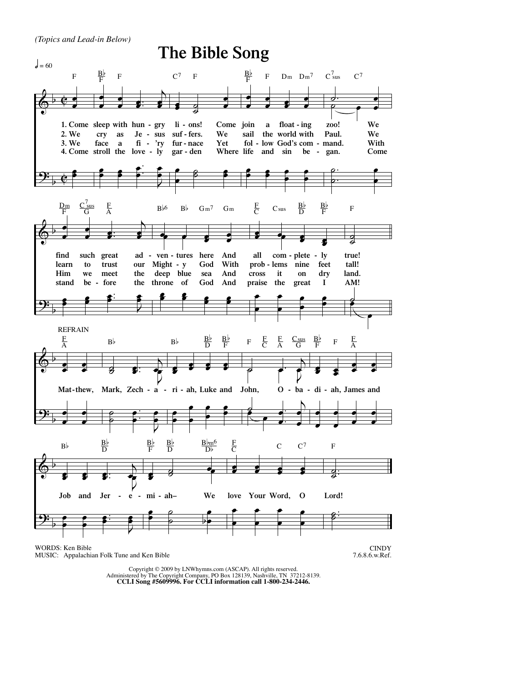*(Topics and Lead-in Below)*



## MUSIC: Appalachian Folk Tune and Ken Bible

7.6.8.6.w.Ref.

Copyright © 2009 by LNWhymns.com (ASCAP). All rights reserved. Administered by The Copyright Company, PO Box 128139, Nashville, TN 37212-8139. **CCLI Song #5609996. For CCLI information call 1-800-234-2446.**